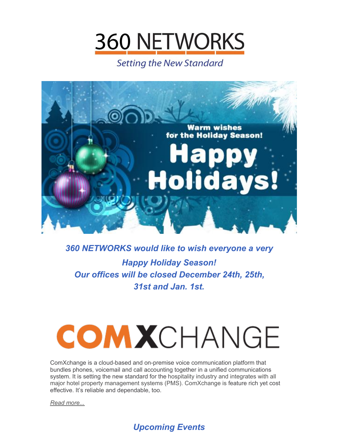

**Setting the New Standard** 



# *360 NETWORKS would like to wish everyone a very Happy Holiday Season! Our offices will be closed December 24th, 25th, 31st and Jan. 1st.*

# **COMXCHANGE**

ComXchange is a cloud-based and on-premise voice communication platform that bundles phones, voicemail and call accounting together in a unified communications system. It is setting the new standard for the hospitality industry and integrates with all major hotel property management systems (PMS). ComXchange is feature rich yet cost effective. It's reliable and dependable, too.

*Read [more...](https://files.constantcontact.com/5cfeb3dd701/91efa4e8-2b94-4960-868f-78794cb7bbff.pdf)*

## *Upcoming Events*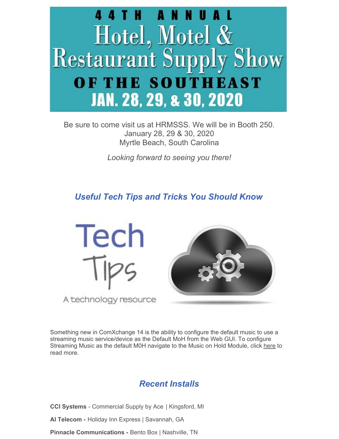

Be sure to come visit us at HRMSSS. We will be in Booth 250. January 28, 29 & 30, 2020 Myrtle Beach, South Carolina

*Looking forward to seeing you there!*

### *Useful Tech Tips and Tricks You Should Know*



Something new in ComXchange 14 is the ability to configure the default music to use a streaming music service/device as the Default MoH from the Web GUI. To configure Streaming Music as the default M0H navigate to the Music on Hold Module, click [here](https://files.constantcontact.com/5cfeb3dd701/6bb57b30-3918-455e-b1ed-286feb06557e.pdf) to read more.

#### *Recent Installs*

**CCI Systems** - Commercial Supply by Ace | Kingsford, MI

**AI Telecom -** Holiday Inn Express | Savannah, GA

**Pinnacle Communications -** Bento Box | Nashville, TN